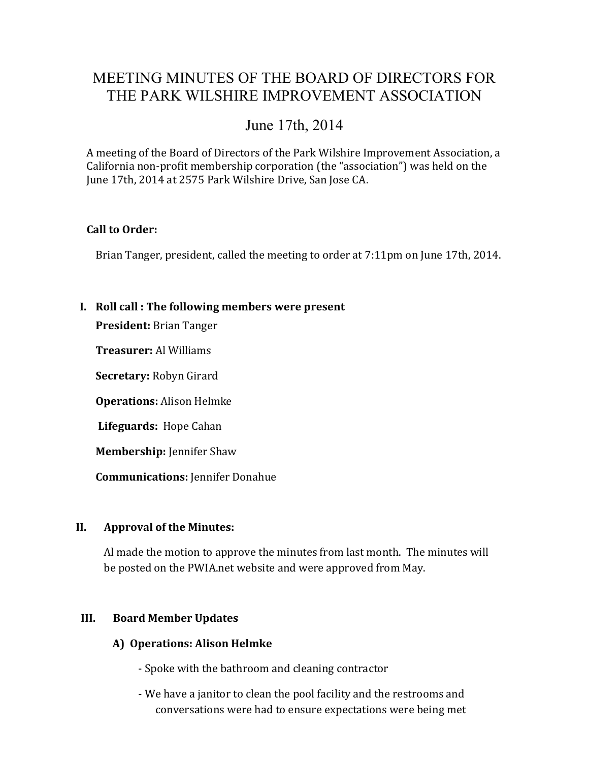# MEETING MINUTES OF THE BOARD OF DIRECTORS FOR THE PARK WILSHIRE IMPROVEMENT ASSOCIATION

## June 17th, 2014

A meeting of the Board of Directors of the Park Wilshire Improvement Association, a California non-profit membership corporation (the "association") was held on the June 17th, 2014 at 2575 Park Wilshire Drive, San Jose CA.

## **Call to Order:**

Brian Tanger, president, called the meeting to order at 7:11pm on June 17th, 2014.

## **I. Roll call : The following members were present**

**President:** Brian Tanger

**Treasurer:** Al Williams

**Secretary:** Robyn Girard

**Operations:** Alison Helmke

**Lifeguards:** Hope Cahan

**Membership:** Jennifer Shaw

**Communications:** Jennifer Donahue

## **II. Approval of the Minutes:**

Al made the motion to approve the minutes from last month. The minutes will be posted on the PWIA.net website and were approved from May.

## **III. Board Member Updates**

## **A) Operations: Alison Helmke**

- Spoke with the bathroom and cleaning contractor

- We have a janitor to clean the pool facility and the restrooms and conversations were had to ensure expectations were being met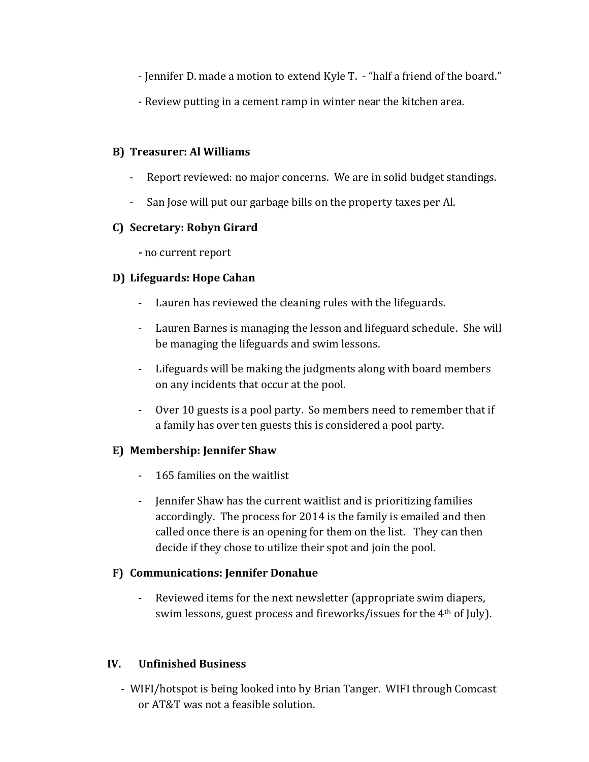- Jennifer D. made a motion to extend Kyle T. "half a friend of the board."
- Review putting in a cement ramp in winter near the kitchen area.

#### **B) Treasurer: Al Williams**

- Report reviewed: no major concerns. We are in solid budget standings.
- San Jose will put our garbage bills on the property taxes per Al.

## **C) Secretary: Robyn Girard**

**-** no current report

## **D) Lifeguards: Hope Cahan**

- Lauren has reviewed the cleaning rules with the lifeguards.
- Lauren Barnes is managing the lesson and lifeguard schedule. She will be managing the lifeguards and swim lessons.
- Lifeguards will be making the judgments along with board members on any incidents that occur at the pool.
- Over 10 guests is a pool party. So members need to remember that if a family has over ten guests this is considered a pool party.

## **E) Membership: Jennifer Shaw**

- 165 families on the waitlist
- Jennifer Shaw has the current waitlist and is prioritizing families accordingly. The process for 2014 is the family is emailed and then called once there is an opening for them on the list. They can then decide if they chose to utilize their spot and join the pool.

## **F) Communications: Jennifer Donahue**

- Reviewed items for the next newsletter (appropriate swim diapers, swim lessons, guest process and fireworks/issues for the 4th of July).

## **IV. Unfinished Business**

- WIFI/hotspot is being looked into by Brian Tanger. WIFI through Comcast or AT&T was not a feasible solution.